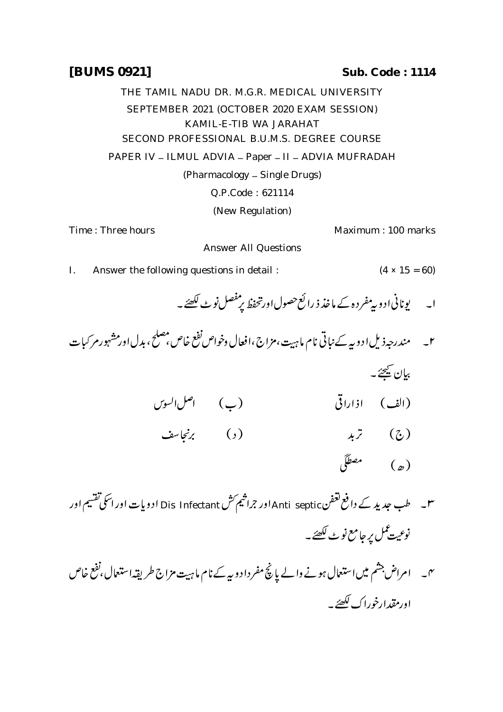## THE TAMIL NADU DR. M.G.R. MEDICAL UNIVERSITY SEPTEMBER 2021 (OCTOBER 2020 EXAM SESSION) KAMIL-E-TIB WA JARAHAT SECOND PROFESSIONAL B.U.M.S. DEGREE COURSE PAPER IV - ILMUL ADVIA - Paper - II - ADVIA MUFRADAH (Pharmacology \_ Single Drugs) Q.P.Code : 621114 (New Regulation)

Time : Three hours Maximum : 100 marks

Answer All Questions

- I. Answer the following questions in detail :  $(4 \times 15 = 60)$ 
	- ا۔ یونانی ادو بی<sup>مف</sup>ر دہ کے ماخذ ذ رائع حصول اورتحفظ پ<sup>رمن</sup>صل نو<sub>ٹ</sub> لکھئے ۔
- ٢\_ \_ مندرجه ذيل ادويه كے نباتي نام ما ہيت، مزاج،افعال وخواص نفع خاص، مصلح، بدل اور مشہور مر كيات بيان کيمحےُ۔ (الف) اذاراقی (ب) اصل السوس) ( ج) تربد ( د) برنجاسف ( د)  $\sqrt{2}$  (e)
- س طب جدید کے دافع تعفن Anti septic اور جراثیم کش Dis Infectant ادویات اور اسکی تقسیم اور نوعیت *کم*ل *پر جا*مع نو <sub>ٹ</sub> لکھئے۔
- امراض ڲ ر<br>شم نہ ۔ امراض جشم میں استعمال ہونے والے پانچ مفرداد و بیے نام ماہیت مزاج طریقہاستعمال، تقع خاص اورمقدارخوراك لكصئر

## **[BUMS 0921] Sub. Code : 1114**